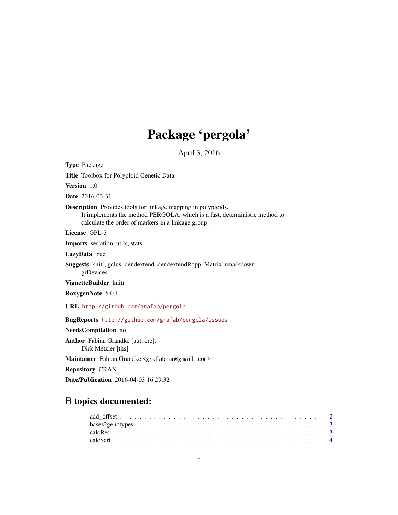# Package 'pergola'

April 3, 2016

Type Package

Title Toolbox for Polyploid Genetic Data

Version 1.0

Date 2016-03-31

Description Provides tools for linkage mapping in polyploids. It implements the method PERGOLA, which is a fast, deterministic method to calculate the order of markers in a linkage group.

License GPL-3

Imports seriation, utils, stats

LazyData true

Suggests knitr, gclus, dendextend, dendextendRcpp, Matrix, rmarkdown, grDevices

VignetteBuilder knitr

RoxygenNote 5.0.1

URL <http://github.com/grafab/pergola>

BugReports <http://github.com/grafab/pergola/issues>

NeedsCompilation no

Author Fabian Grandke [aut, cre], Dirk Metzler [ths]

Maintainer Fabian Grandke <grafabian@gmail.com>

Repository CRAN

Date/Publication 2016-04-03 16:29:32

# R topics documented: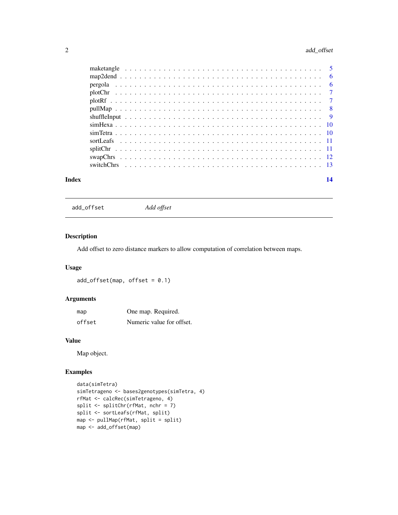# <span id="page-1-0"></span>2 add\_offset

| Index | 14 |
|-------|----|

| add offset |  |
|------------|--|
|            |  |

add\_offset *Add offset*

# Description

Add offset to zero distance markers to allow computation of correlation between maps.

# Usage

 $add\_offset(map, offset = 0.1)$ 

# Arguments

| map    | One map. Required.        |  |
|--------|---------------------------|--|
| offset | Numeric value for offset. |  |

# Value

Map object.

```
data(simTetra)
simTetrageno <- bases2genotypes(simTetra, 4)
rfMat <- calcRec(simTetrageno, 4)
split <- splitChr(rfMat, nchr = 7)
split <- sortLeafs(rfMat, split)
map <- pullMap(rfMat, split = split)
map <- add_offset(map)
```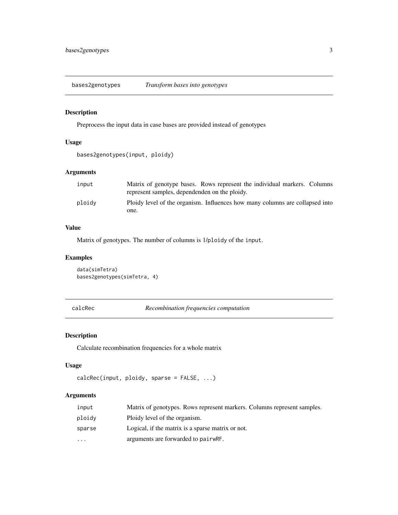<span id="page-2-0"></span>bases2genotypes *Transform bases into genotypes*

# Description

Preprocess the input data in case bases are provided instead of genotypes

# Usage

```
bases2genotypes(input, ploidy)
```
# Arguments

| input  | Matrix of genotype bases. Rows represent the individual markers. Columns<br>represent samples, dependenden on the ploidy. |
|--------|---------------------------------------------------------------------------------------------------------------------------|
| ploidy | Ploidy level of the organism. Influences how many columns are collapsed into<br>one.                                      |

#### Value

Matrix of genotypes. The number of columns is 1/ploidy of the input.

# Examples

```
data(simTetra)
bases2genotypes(simTetra, 4)
```

```
calcRec Recombination frequencies computation
```
# Description

Calculate recombination frequencies for a whole matrix

# Usage

```
calcRec(input, ploidy, sparse = FALSE, ...)
```
# Arguments

| input                   | Matrix of genotypes. Rows represent markers. Columns represent samples. |
|-------------------------|-------------------------------------------------------------------------|
| ploidy                  | Ploidy level of the organism.                                           |
| sparse                  | Logical, if the matrix is a sparse matrix or not.                       |
| $\cdot$ $\cdot$ $\cdot$ | arguments are forwarded to pairwRF.                                     |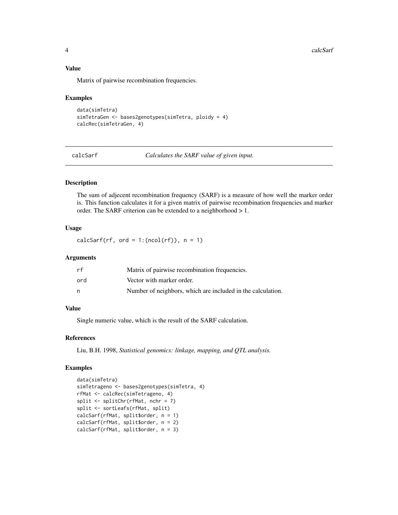# Value

Matrix of pairwise recombination frequencies.

#### Examples

```
data(simTetra)
simTetraGen <- bases2genotypes(simTetra, ploidy = 4)
calcRec(simTetraGen, 4)
```
calcSarf *Calculates the SARF value of given input.*

# Description

The sum of adjecent recombination frequency (SARF) is a measure of how well the marker order is. This function calculates it for a given matrix of pairwise recombination frequencies and marker order. The SARF criterion can be extended to a neighborhood > 1.

# Usage

calcSarf(rf, ord =  $1:(\text{ncol}(rf))$ ,  $n = 1$ )

# Arguments

| rf  | Matrix of pairwise recombination frequencies.               |
|-----|-------------------------------------------------------------|
| ord | Vector with marker order.                                   |
| n   | Number of neighbors, which are included in the calculation. |

# Value

Single numeric value, which is the result of the SARF calculation.

#### References

Liu, B.H. 1998, *Statistical genomics: linkage, mapping, and QTL analysis.*

```
data(simTetra)
simTetrageno <- bases2genotypes(simTetra, 4)
rfMat <- calcRec(simTetrageno, 4)
split <- splitChr(rfMat, nchr = 7)
split <- sortLeafs(rfMat, split)
calcSarf(rfMat, split$order, n = 1)
calcSarf(rfMat, split$order, n = 2)
calcSarf(rfMat, split$order, n = 3)
```
<span id="page-3-0"></span>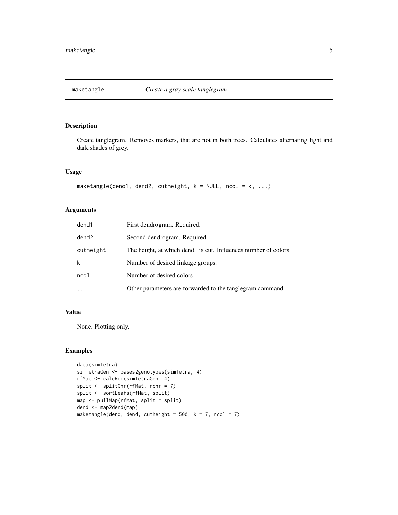<span id="page-4-0"></span>

Create tanglegram. Removes markers, that are not in both trees. Calculates alternating light and dark shades of grey.

# Usage

```
maketangle(dend1, dend2, cutheight, k = NULL, ncol = k, ...)
```
# Arguments

| dend1     | First dendrogram. Required.                                     |
|-----------|-----------------------------------------------------------------|
| dend2     | Second dendrogram. Required.                                    |
| cutheight | The height, at which dend1 is cut. Influences number of colors. |
| k         | Number of desired linkage groups.                               |
| ncol      | Number of desired colors.                                       |
| .         | Other parameters are forwarded to the tanglegram command.       |

# Value

None. Plotting only.

```
data(simTetra)
simTetraGen <- bases2genotypes(simTetra, 4)
rfMat <- calcRec(simTetraGen, 4)
split <- splitChr(rfMat, nchr = 7)
split <- sortLeafs(rfMat, split)
map <- pullMap(rfMat, split = split)
dend <- map2dend(map)
maketangle(dend, dend, cutheight = 500, k = 7, ncol = 7)
```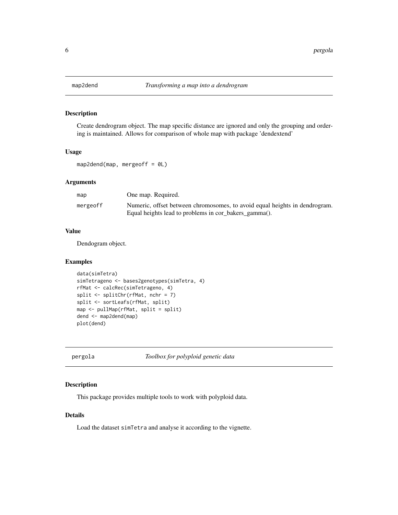Create dendrogram object. The map specific distance are ignored and only the grouping and ordering is maintained. Allows for comparison of whole map with package 'dendextend'

# Usage

 $map2dend(map, mergeoff = 0L)$ 

# Arguments

| map      | One map. Required.                                                                                                                  |
|----------|-------------------------------------------------------------------------------------------------------------------------------------|
| mergeoff | Numeric, offset between chromosomes, to avoid equal heights in dendrogram.<br>Equal heights lead to problems in cor_bakers_gamma(). |

# Value

Dendogram object.

# Examples

```
data(simTetra)
simTetrageno <- bases2genotypes(simTetra, 4)
rfMat <- calcRec(simTetrageno, 4)
split \le splitChr(rfMat, nchr = 7)
split <- sortLeafs(rfMat, split)
map <- pullMap(rfMat, split = split)
dend <- map2dend(map)
plot(dend)
```
pergola *Toolbox for polyploid genetic data*

# Description

This package provides multiple tools to work with polyploid data.

# Details

Load the dataset simTetra and analyse it according to the vignette.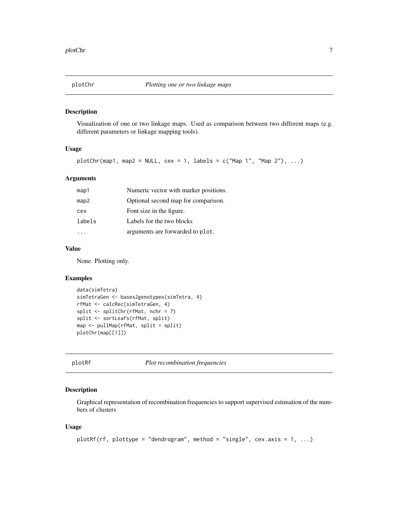<span id="page-6-0"></span>

Visualization of one or two linkage maps. Used as comparison between two different maps (e.g. different parameters or linkage mapping tools).

# Usage

plotChr(map1, map2 = NULL, cex = 1, labels = c("Map 1", "Map 2"), ...)

# Arguments

| map1   | Numeric vector with marker positions. |
|--------|---------------------------------------|
| map2   | Optional second map for comparison.   |
| cex    | Font size in the figure.              |
| labels | Labels for the two blocks             |
|        | arguments are forwarded to plot.      |

### Value

None. Plotting only.

# Examples

```
data(simTetra)
simTetraGen <- bases2genotypes(simTetra, 4)
rfMat <- calcRec(simTetraGen, 4)
split <- splitChr(rfMat, nchr = 7)
split <- sortLeafs(rfMat, split)
map <- pullMap(rfMat, split = split)
plotChr(map[[1]])
```
plotRf *Plot recombination frequencies*

# Description

Graphical representation of recombination frequencies to support supervised estimation of the numbers of clusters

#### Usage

```
plotRf(rf, plottype = "dendrogram", method = "single", cex.axis = 1, ...)
```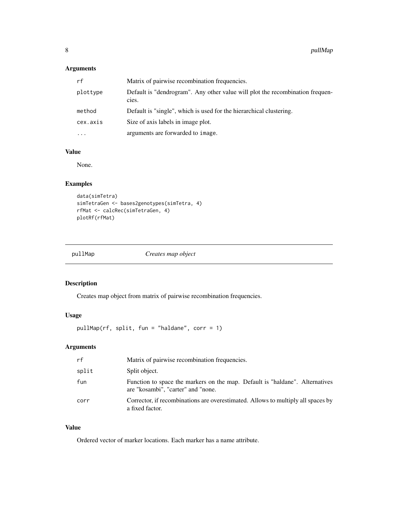# <span id="page-7-0"></span>Arguments

| rf       | Matrix of pairwise recombination frequencies.                                          |
|----------|----------------------------------------------------------------------------------------|
| plottype | Default is "dendrogram". Any other value will plot the recombination frequen-<br>cies. |
| method   | Default is "single", which is used for the hierarchical clustering.                    |
| cex.axis | Size of axis labels in image plot.                                                     |
| $\cdots$ | arguments are forwarded to image.                                                      |

# Value

None.

# Examples

```
data(simTetra)
simTetraGen <- bases2genotypes(simTetra, 4)
rfMat <- calcRec(simTetraGen, 4)
plotRf(rfMat)
```

|  | pullMap |  |
|--|---------|--|
|  |         |  |

 $Creates$  map object

# Description

Creates map object from matrix of pairwise recombination frequencies.

# Usage

pullMap(rf, split, fun = "haldane", corr = 1)

# Arguments

| rf    | Matrix of pairwise recombination frequencies.                                                                      |
|-------|--------------------------------------------------------------------------------------------------------------------|
| split | Split object.                                                                                                      |
| fun   | Function to space the markers on the map. Default is "haldane". Alternatives<br>are "kosambi", "carter" and "none. |
| corr  | Corrector, if recombinations are overestimated. Allows to multiply all spaces by<br>a fixed factor.                |

# Value

Ordered vector of marker locations. Each marker has a name attribute.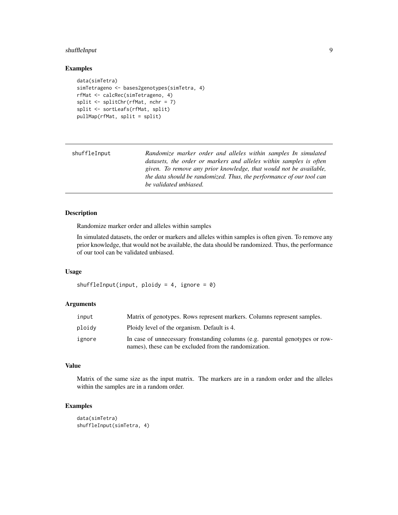# <span id="page-8-0"></span>shuffleInput 9

# Examples

```
data(simTetra)
simTetrageno <- bases2genotypes(simTetra, 4)
rfMat <- calcRec(simTetrageno, 4)
split <- splitChr(rfMat, nchr = 7)
split <- sortLeafs(rfMat, split)
pullMap(rfMat, split = split)
```

| shuffleInput | Randomize marker order and alleles within samples In simulated       |
|--------------|----------------------------------------------------------------------|
|              | datasets, the order or markers and alleles within samples is often   |
|              | given. To remove any prior knowledge, that would not be available,   |
|              | the data should be randomized. Thus, the performance of our tool can |
|              | be validated unbiased.                                               |

# Description

Randomize marker order and alleles within samples

In simulated datasets, the order or markers and alleles within samples is often given. To remove any prior knowledge, that would not be available, the data should be randomized. Thus, the performance of our tool can be validated unbiased.

# Usage

```
shuffleInput(input, ploidy = 4, ignore = 0)
```
# Arguments

| input  | Matrix of genotypes. Rows represent markers. Columns represent samples.                                                               |
|--------|---------------------------------------------------------------------------------------------------------------------------------------|
| ploidy | Ploidy level of the organism. Default is 4.                                                                                           |
| ignore | In case of unnecessary frontianding columns (e.g. parental genotypes or row-<br>names), these can be excluded from the randomization. |

### Value

Matrix of the same size as the input matrix. The markers are in a random order and the alleles within the samples are in a random order.

```
data(simTetra)
shuffleInput(simTetra, 4)
```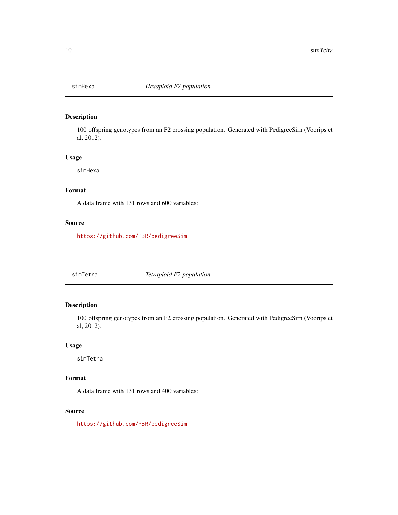<span id="page-9-0"></span>

100 offspring genotypes from an F2 crossing population. Generated with PedigreeSim (Voorips et al, 2012).

# Usage

simHexa

# Format

A data frame with 131 rows and 600 variables:

# Source

<https://github.com/PBR/pedigreeSim>

simTetra *Tetraploid F2 population*

# Description

100 offspring genotypes from an F2 crossing population. Generated with PedigreeSim (Voorips et al, 2012).

# Usage

simTetra

# Format

A data frame with 131 rows and 400 variables:

# Source

<https://github.com/PBR/pedigreeSim>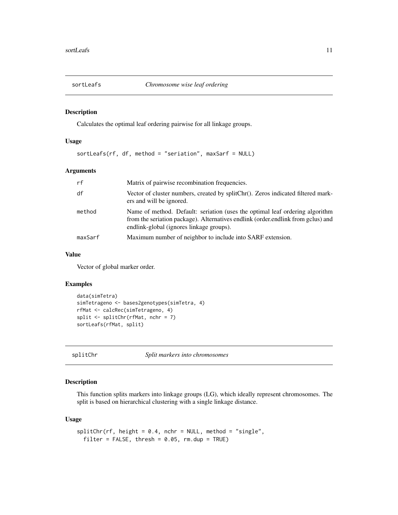<span id="page-10-0"></span>

Calculates the optimal leaf ordering pairwise for all linkage groups.

## Usage

```
sortLeafs(rf, df, method = "seriation", maxSarf = NULL)
```
# Arguments

| rf      | Matrix of pairwise recombination frequencies.                                                                                                                                                                |
|---------|--------------------------------------------------------------------------------------------------------------------------------------------------------------------------------------------------------------|
| df      | Vector of cluster numbers, created by splitChr(). Zeros indicated filtered mark-<br>ers and will be ignored.                                                                                                 |
| method  | Name of method. Default: seriation (uses the optimal leaf ordering algorithm<br>from the seriation package). Alternatives endlink (order endlink from gclus) and<br>endlink-global (ignores linkage groups). |
| maxSarf | Maximum number of neighbor to include into SARF extension.                                                                                                                                                   |

## Value

Vector of global marker order.

#### Examples

```
data(simTetra)
simTetrageno <- bases2genotypes(simTetra, 4)
rfMat <- calcRec(simTetrageno, 4)
split \le splitChr(rfMat, nchr = 7)
sortLeafs(rfMat, split)
```

```
splitChr Split markers into chromosomes
```
# Description

This function splits markers into linkage groups (LG), which ideally represent chromosomes. The split is based on hierarchical clustering with a single linkage distance.

# Usage

```
splitChr(rf, height = 0.4, nchr = NULL, method = "single",
 filter = FALSE, thresh = 0.05, rm.dup = TRUE)
```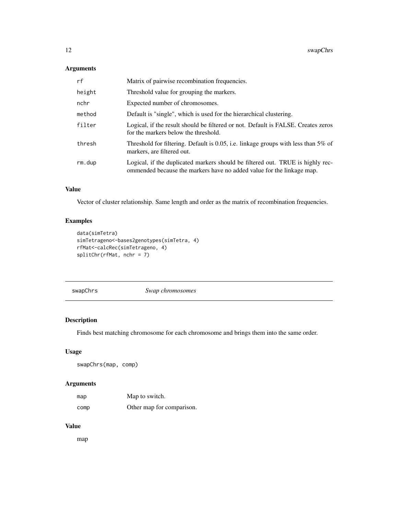# <span id="page-11-0"></span>Arguments

| rf     | Matrix of pairwise recombination frequencies.                                                                                                           |
|--------|---------------------------------------------------------------------------------------------------------------------------------------------------------|
| height | Threshold value for grouping the markers.                                                                                                               |
| nchr   | Expected number of chromosomes.                                                                                                                         |
| method | Default is "single", which is used for the hierarchical clustering.                                                                                     |
| filter | Logical, if the result should be filtered or not. Default is FALSE. Creates zeros<br>for the markers below the threshold.                               |
| thresh | Threshold for filtering. Default is 0.05, i.e. linkage groups with less than $5\%$ of<br>markers, are filtered out.                                     |
| rm.dup | Logical, if the duplicated markers should be filtered out. TRUE is highly rec-<br>ommended because the markers have no added value for the linkage map. |

# Value

Vector of cluster relationship. Same length and order as the matrix of recombination frequencies.

# Examples

```
data(simTetra)
simTetrageno<-bases2genotypes(simTetra, 4)
rfMat<-calcRec(simTetrageno, 4)
splitChr(rfMat, nchr = 7)
```
swapChrs *Swap chromosomes*

# Description

Finds best matching chromosome for each chromosome and brings them into the same order.

# Usage

swapChrs(map, comp)

# Arguments

| map  | Map to switch.            |
|------|---------------------------|
| comp | Other map for comparison. |

# Value

map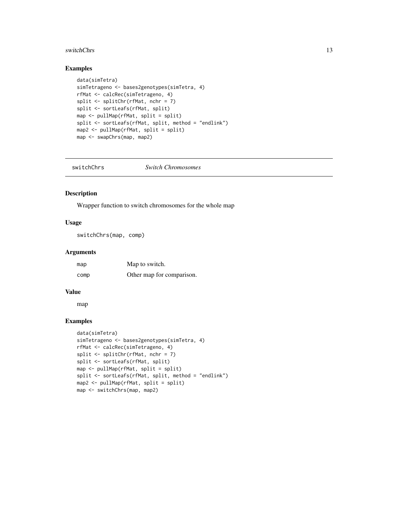#### <span id="page-12-0"></span>switchChrs 13

# Examples

```
data(simTetra)
simTetrageno <- bases2genotypes(simTetra, 4)
rfMat <- calcRec(simTetrageno, 4)
split \le- splitChr(rfMat, nchr = 7)
split <- sortLeafs(rfMat, split)
map <- pullMap(rfMat, split = split)
split <- sortLeafs(rfMat, split, method = "endlink")
map2 <- pullMap(rfMat, split = split)
map <- swapChrs(map, map2)
```
switchChrs *Switch Chromosomes*

# Description

Wrapper function to switch chromosomes for the whole map

## Usage

switchChrs(map, comp)

#### Arguments

| map  | Map to switch.            |
|------|---------------------------|
| comp | Other map for comparison. |

#### Value

map

```
data(simTetra)
simTetrageno <- bases2genotypes(simTetra, 4)
rfMat <- calcRec(simTetrageno, 4)
split <- splitChr(rfMat, nchr = 7)
split <- sortLeafs(rfMat, split)
map <- pullMap(rfMat, split = split)
split <- sortLeafs(rfMat, split, method = "endlink")
map2 <- pullMap(rfMat, split = split)
map <- switchChrs(map, map2)
```